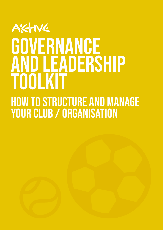## AKTIVE GOVERNANCE **AND LEADERSHIP** Toolkii How to structure and manage YOUR CLUB / ORGANISATION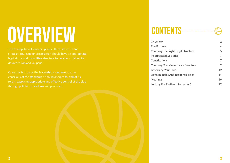|                   | $\mathbf{z}$ |
|-------------------|--------------|
|                   | 4            |
| t Legal Structure | 5            |
| ties              | 7            |
|                   | 7            |
| ernance Structure | 9            |
| ۱b                | 12           |
| Responsibilities  | 14           |
|                   | 16           |
| r Information?    | 19           |

# OVERVIEW CONTENTS

The three pillars of leadership are culture, structure and strategy. Your club or organisation should have an appropriate legal status and committee structure to be able to deliver its desired vision and kaupapa.

Once this is in place the leadership group needs to be conscious of the standards it should operate to, and of its role in exercising appropriate and effective control of the club through policies, procedures and practices.

**Overview** [The Purpose](#page-2-0) Choosing The Right **Incorporated Societ [Constitutions](#page-3-0)** Choosing Your Gove **Governing Your Clul** Defining Roles And [Meetings](#page-8-0) Looking For Further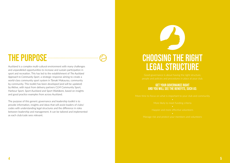## <span id="page-2-0"></span>THE PURPOSE **CONSECTED**

Auckland is a complex multi-cultural environment with many challenges and unparalleled opportunities to increase and sustain participation in sport and recreation. This has led to the establishment of *The Auckland Approach to Community Sport*, a strategic response aiming to create a world-class community sport system in Tāmaki Makaurau, community by community. This toolkit has been developed (and will be updated) by Aktive, with input from delivery partners CLM Community Sport, Harbour Sport, Sport Auckland and Sport Waitākere, based on insights and good practice examples from across Auckland.

The purpose of this generic governance and leadership toolkit is to provide information, insights and ideas that will assist leaders of clubs/ codes with understanding legal structures and the difference in roles between leadership and management. It can be tailored and implemented as each club/code sees relevant.

## GET YOUR GOVERNANCE RIGHT AND YOU WILL SEE THE BENEFITS, SUCH AS:

Happier and more effective volunteers

## Choosing the right legal structure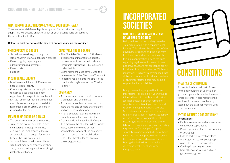## WHAT DOES INCORPORATION MEAN? DO WE NEED TO DO THIS?

individuals in all circumstances. While not



## **CONSTITUTIONS**

## Incorporated **SOCIETIES**

- You will not need to go through the relevant administrative application process
- Fewer ongoing reporting and administration requirements
- Fewer costs
- Flexibility

- Must have a minimum of 15 members
- Separate legal identity
- Continuing existence meaning it continues to exist as a separate legal entity regardless of changes in its membership
- Limited liability for members means for any debts or other legal responsibilities, its members aren't usually personally responsible for these
- The Charitable Trusts Act 1957 allows a trust or an unincorporated society, to become an incorporated body – a "charitable trust board" – by registering under that Act
- Board members must comply with the requirements of the Charitable Trusts Act
- Reporting requirements will apply if the board is also registered on the Charities Register

## **COMPANIES**

## UNINCORPORATED GROUPS

## INCORPORATED GROUPS

## MEMBERSHIP GROUP OR A TRUST

- Explain to members and non-members what your group is about.
- Provide guidelines for the daily running of your group.
- Help to sort out internal problems.
- Are a legal necessity if your group wishes to become incorporated.
- Can help in seeking resources from other organisations, such as a government agency.
- The decision-makers are the trustees
- Trustees are not accountable to any membership, although when they deal with the trust property, they're accountable to the people for whose benefit the trust was set up
- Suitable if there could potentially be significant money or property involved and you want to keep decision-making in relatively few hands

## CHARITABLE TRUST BOARDS

- A company can be set up with just one shareholder and one director.
- A company must have a name, one or more shares, one or more shareholders, and one or more directors
- It has a separate legal identity distinct from its shareholders and directors
- A company is a "limited liability" entity. This means a shareholder isn't personally liable, beyond the value of their shareholding, for any of the company's contracts, debts or other obligations, unless the shareholder has given a personal guarantee.

## <span id="page-3-0"></span>WHAT KIND OF LEGAL STRUCTURE SHOULD YOUR GROUP HAVE?

There are several different legally recognised forms that a club might adopt. This will depend on factors such as your organisation's purpose and the activities it will offer.

### **Below is a brief overview of the different options your club can consider:**

## WHAT IS A CONSTITUTION?

A constitution is a basic set of rules for the daily running of your club or group and generally includes the reasons for its existence. It also regulates the relationship between members by setting out the basis for working with other co-members.

## WHY DO WE NEED A CONSTITUTION?

### **Constitutions:**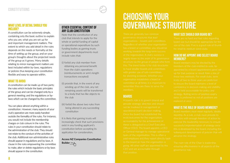to have smaller boards and committees

## BOARDS

going. All other staff are appointed by the

## <span id="page-4-0"></span>Choosing your WHAT LEVEL OF DETAIL SHOULD YOU OTHER ESSENTIAL CONTENT OF **COVERNANCE STRUCTURE**

## WHAT SIZE SHOULD OUR BOARD BE?

board size but should be appropriate for the for small to medium sized clubs.

## HOW DO WE APPOINT AND SELECT BOARD MEMBERS?

members of the club entitled to vote, be to ensure the board maintains a level of

## WHAT IS THE ROLE OF BOARD MEMBERS?

The main role of the Chair is leadership,

It is likely that gaming trusts will increasingly check that such provisions exist in any funding applicant's constitution before accepting its application for consideration.

## INCLUDE?

A constitution can be extremely simple, containing only the basic outline to explain who you are, what you are set up for and important management matters. The extent to which you add detail in the rules depends on the needs or formality at the time of setting up the group, and on your group's thoughts about the projected needs of the group as it grows. Many details relating to minor management matters are best included within by-laws, regulations or policies thus keeping your constitution flexible and easy to operate within.

## WHAT TO AVOID

A constitution can be made up of two parts; the rules which include the basic principles of the group and can be changed only by a general meeting; and the regulations or bylaws which can be changed by the committee.

You can place almost anything within a constitution. However, many aspects of your club's operation are more easily handled outside the formality of the rules. For instance, you would not include the membership charges or club colours in the rules. The rules in your constitution should relate to the administration of the club. They should not relate to the conduct of the activities of the club. Additional non-administrative rules should appear in regulations and by-laws. A clause in the rules empowering the committee to make, alter or delete regulations or by-laws should appear in the constitution.

## OTHER ESSENTIAL CONTENT OF ANY CLUB CONSTITUTION

Note that the constitution of any club that intends to apply for the whole or partial funding of capital or operational expenditure by such funding bodies as gaming trusts or government departments must include rules that:

- (i) forbid any club member from obtaining any personal benefit from the club's operations (reimbursements or arm's length transactions excepted)
- (ii) provide that, in the event of any winding up of the club, any net remaining assets will be transferred to a body that has like objects to the club
- (iii) forbid the above two rules from being altered in any succeeding constitution

## **[Access NZ Companies Constitution](https://isb.companiesoffice.govt.nz/constitutionbuilder/startscreen/)  [Builder](https://isb.companiesoffice.govt.nz/constitutionbuilder/startscreen/)** [>>](http://aktive.org.nz/sector-development/managing-your-organisation/governance-and-leadership/)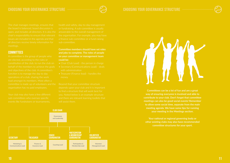open, and includes all directors. It is also the

## **COMMITTEES**

**Committee members should have set roles and jobs to complete. The roles of people on your committee or management team could be:**

- 
- 
- 

will assist them.

## Choosing your governance structure Choosing your governance structure

**Committees can be a lot of fun and are a great way of ensuring everyone is involved and able to contribute to your club. Don't forget that committee meetings can also be good social events! Remember to allow some social time, separate from the main meeting agenda. We have some tips for running your meeting in the Meetings section.**

**Your national or regional governing body or other existing clubs may also have recommended committee structures for your sport.**





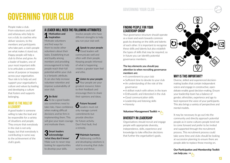## <span id="page-6-0"></span>GOVERNING YOUR CLUB

People make a club. From volunteers and staff and whanau who help to run a club, to coaches who deliver sessions, to the members and participants who take part, a club's people are what makes it stand out. Happy people will help a club to thrive and grow. As a leader of leaders, one of your most important skills is to articulate a common sense of purpose or kaupapa across your organisation. Your role is to help set and support your organisation's culture and values by leading and developing a culture that fosters and supports belonging.

## WHAT IS THE ROLE OF A LEADER?

A good leader is someone willing to take the lead and be responsible for a variety of situations and people. They ensure that everybody in the club is not only happy, but that everybody is contributing in some way to the achievement of the club's goals.

## FINDING PEOPLE FOR YOUR LEADERSHIP GROUP

Your governance structure should operate as a team and work towards common goals by drawing on the skills and talents of each other. It is important to recognise these skills and talents but also establish the types of skills that may be required, so in future you can identify potential governance members.

## **The key elements you should pay attention to when recruiting governance members are:**

- A commitment to your club
- Sufficient time to devote to your club
- An understanding of the role of the governance
- A skillset match with others in the team
- Enthusiastic and interested in the club
- Good communication skills
- Leadership and listening skills
- Honesty

## **[Volunteer Management Toolkit](https://aktive.org.nz/media/rl3lelsx/volunteer-management-toolkit.pdf) >>**

## DIVERSITY IN LEADERSHIP

2 **Be Bold**<br>2 To be a good leader, you sometimes need to take risks. Have confidence when making difficult decisions and be firm in implementing them. This will give your team courage and motivate them.

Organisations should recruit and engage people with appropriate diversity, independence, skills, experience and knowledge to take effective decisions that further the organisation's goals.



## WHY IS THIS IMPORTANT?

Diverse, skilled and experienced decisionmaking bodies that contain independent voices and engage in constructive, open debate enable good decision-making. Ensure your leadership team has a balance of gender, ethnicities, experience and age to best represent the voice of your participants. This also brings a variety of perspectives and mental models.

It may be necessary to go out into the community and directly approach potential people as in some cultures people tend not to come forward and prefer to be invited and supported through the recruitment process. This recruitment process could take some time and clubs should be looking at succession planning to ensure there are people able to replace those moving on.

**[Our Participation and Membership Toolkit](https://aktive.org.nz/media/wsdjs4v3/participation-membership-toolkit.pdf)  [can help you](https://aktive.org.nz/media/wsdjs4v3/participation-membership-toolkit.pdf) >>**



## A LEADER WILL NEED THE FOLLOWING ATTRIBUTES:

1 **Motivation and Inspiration**

Motivate volunteers and find ways for them to excite other volunteers about their tasks. Establishing trust and loyalty among members and providing encouragement to help people reach their full potential within your club is a fantastic attribute. It can also help increase volunteer retention and improve sustainability of your club.

## 3 **Smart leaders acknowledge 'what they don't know'**

Make sure to never stop looking for opportunities to develop your skills.

Involve people who have different strengths to help you run your club well.

4 **Speak to your people** Good leaders will communicate well and often with their people. Keeping people informed of what is happening creates a greater team feel and ethic.

5 **Listen to your people** Your people are your greatest resource; listen to their feedback and encourage them to share their opinions and ideas.

6 **Future focused** Leaders must not only manage current commitments but provide direction for future activity. Don't find fault, find a remedy.

7 **Maintain harmony** Addressing conflicts and developing solutions is vital to ensuring that clubs survive and thrive.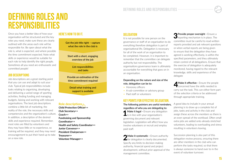Once you have a better idea of how your organisation will be structured and the key roles you need, make sure these are clearly outlined with the areas each role will be responsible for. Be open about what the role is, what is expected, and where possible the time commitment expected. Note what skills or experience would be suitable for each role to help identify the right people. Sometimes all you need are enthusiastic and committed people!

## JOB DESCRIPTIONS

Job descriptions are a great starting point that you can use and adapt to suit your club. Typical job responsibilities include tasks relating to organising, developing and delivering a varied range of sporting activities, finding funding and managing budgets, liaising and working with relevant organisations. The best job descriptions combine a little bit of marketing, the reality of the role, the necessary skills and competencies and the organization's culture. In addition, a description of the desired skills and experience required. Remember, most roles are filled by volunteers and they may have little or no experience, so training will be required, and they may need encouragement to put their hand up to take on a new role.

## HERE'S HOW TO DO IT.

## **Role descriptions**

2 Make it systematic - Ensure authority<br> **2** for delegation is clearly documented. Specify any limits to decision-making authority, financial spend and project development, without prior approval of the management committee.

**[Child Protection Officer>>](https://aktive.org.nz/media/sxkdgr31/child-protection-officer-safeguarding-designated-person-role-description-template.docx) [Club Secretary>>](https://aktive.org.nz/media/3bqofdwp/club-secretary-job-description.docx) [Coach>>](https://aktive.org.nz/media/j42lf0kt/coach-role-job-description.docx) [Fundraising and Sponsorship](https://aktive.org.nz/media/npbbuebj/fundraising-and-sponsorship-coordinator-job-description.docx)  [Coordinator>>](https://aktive.org.nz/media/npbbuebj/fundraising-and-sponsorship-coordinator-job-description.docx) [Health and Safety Coordinator>>](https://aktive.org.nz/media/obzkjctx/health-and-safety-coordinator-job-description.docx) [Junior Convenor>>](https://aktive.org.nz/media/bwnnszm1/junior-convenor-job-description.docx) [President Chairperson>>](https://aktive.org.nz/media/dpnixv2v/president-chairperson-job-description.docx) [Treasurer](https://aktive.org.nz/media/i0nk2snl/treasurer-job-description-1.docx)>> [Volunteer Manager>>](https://aktive.org.nz/media/lmuapdvt/volunteer-manager_coordinator-role-description-final-1.docx)**

## **DELEGATION**

## <span id="page-7-0"></span>Defining roles and responsibilities

**4 Make it effective -** Ensure the people<br>Concerned have the skills needed to carry out the task. This can either form part of the selection criteria or be addressed through appropriate training.

## **Depending on the nature and size of the role, delegation can be to:**

- Honorary officers
- A sub-committee or advisory group
- Paid staff or volunteers

## KEY POINTS FOR EFFECTIVE DELEGATION.

It is not possible for one person on the governance or staff of an organisation to do everything therefore delegation is part of organisational life. Delegation is necessary for all of the work of an organisation to be completed. However, it is important to remember that the committee can delegate authority but not responsibility. The organisations governance team is ultimately accountable for everything that goes on in an organisation. **3 Provide proper oversight - Ensure a** reporting mechanism is in place. The committee must be careful to read written reports provided and ask relevant questions or when verbal reports are being given to ensure that the delegation they have agreed is working effectively, is within the specified parameters, and they ultimately retain control of all delegations. Ensure that the exercise of delegation is adequately monitored, having regard to the relevant knowledge, skills and experience of the delegate

**The following pointers are useful reminders, regardless of who you are delegating to: 1 Make it legal -** Ensure any delegation  $\blacksquare$  is in line with your organisation's governing document and relevant legislation. Legislation will affect how you involve volunteers or recruit and employ paid staff. A good idea to include in your annual planning is to draw up a complete list of jobs, tasks and activity in the club and assign these across the members so there is an even spread of the workload. Often small extra jobs are added onto already stretched volunteers, leading to overloading and stress resulting in volunteers leaving.

> Succession planning is also part of this delegation review process, ensuring there are other members in the club who can perform the tasks required, so that there is always someone to hand over to in the event of volunteer turnover.

**Get the job title right – capture what the role in the club is**

**Start with a short, engaging overview of the job**

> **List responsibilities and tasks**

**Provide an estimation of the time commitment required**

**Detail what training and support is available**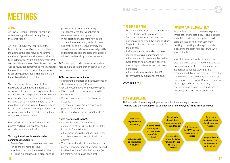## AGMS

An Annual General Meeting (AGM) is an open meeting to be held as required by the constitution.

An AGM is held every year to elect the board of directors (officers) or committee members as the case maybe and inform members of previous and future activities. It is an opportunity for the members to receive copies of the company's financial accounts, as well as reviewing performance information for the past year. It also provides the opportunity to ask any questions regarding the direction the clubs will take in the future.

- Some of your committee members have left or are intending to leave
- Your board or committee needs further skills and experience, e.g. in areas such as
- You generally feel that your board or committee needs reinvigorating
- When electing or appointing new board or committee members, you should make sure that you take skills and diversity into consideration; a balance of knowledge, skills and experience across the board or committee will assist in the making of wise decisions

Your club should be regularly electing new board or committee members as an opportunity to develop or bring in new skills, experiences and perspectives. Although there is no mandatory requirement, it is advisable that board or committee members serve no more than nine years in total. It is also a good idea to have different dates of position expiry on a rotational system so that no more than one person leaves at a time.

Most AGMs have a pre-AGM nomination process and require a proposer and a seconder for each nomination.

### **You might also look for new board or committee members if:**

- Usually the notice for an AGM is a minimum of 21 days (this should be stated in the club's constitution).
- All members should be notified and invited to make nominations for the election of officers.
- The constitution should state the minimum number (or proportion) of members needed to attend for the AGM to be 'quorate' (to be empowered to make decisions).

governance, finance or marketing

AGMs are open to all club members and are held to make decisions that affect what your club does and how it is run.

### **AGMs are an opportunity to:**

- Highlight the progress and achievements of the club over the past 12 months
- Elect the Committee for the following year.
- Discuss and vote on any changes to the constitution
- Produce (and review) the club's annual accounts
- The secretary is normally responsible for planning for the AGM.
- Raise issues by members from "the floor"

### **Notes relating to the AGM:**

## TIPS FOR YOUR AGM

- Make members aware of the importance of the election well in advance
- Send out a newsletter outlining the positions available and the responsibilities
- Target individuals that seem suitable for the position
- Invite members to attend committee meetings to gain an understanding.
- Allow members to nominate themselves
- Keep track of nominations in case you need to approach someone that hasn't nominated
- Allow candidates to talk at the AGM to cover what they might offer the club.



## RUNNING YOUR CLUB MEETINGS

Regular board or committee meetings are where officers meet to discuss club business and related matters on a regular, recorded basis. Discussion items may vary from meeting to meeting and range from who is coaching the team next season, to who washes the kit.

Your club constitution should state how often the board or committee meets and the minimum number of committee members in attendance needed (quorum). It is recommended that a board or club committee should meet at least monthly or at the least once every three months. During the process of setting up a board or club it may be necessary to meet more often, reducing the frequency once the club is established.

## <span id="page-8-0"></span>**MEETINGS**

**Send out a**  reminder **a few days before the meeting**



**Ask attendees to** RSVP **so you know who to**

**expect Assign** roles **for the meeting, such as someone to write minutes**

## PLAN YOUR MEETING

Before you hold a meeting, ask yourself whether the meeting is necessary. **To make sure the meeting will be an effective use of everyone's time make sure you:**